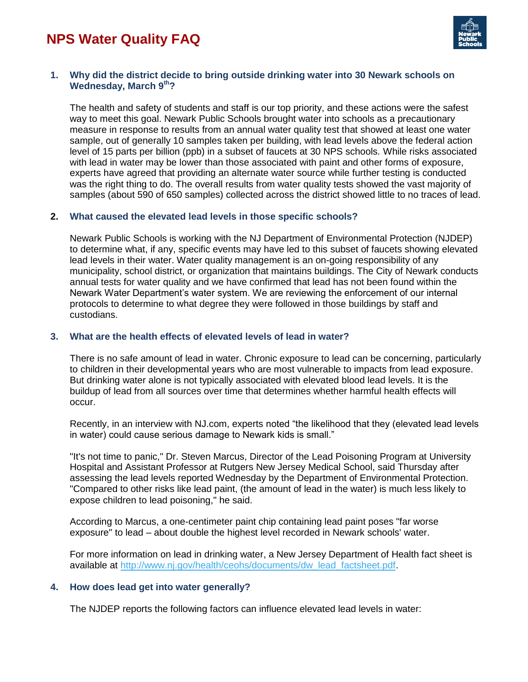

## **1. Why did the district decide to bring outside drinking water into 30 Newark schools on Wednesday, March 9th?**

The health and safety of students and staff is our top priority, and these actions were the safest way to meet this goal. Newark Public Schools brought water into schools as a precautionary measure in response to results from an annual water quality test that showed at least one water sample, out of generally 10 samples taken per building, with lead levels above the federal action level of 15 parts per billion (ppb) in a subset of faucets at 30 NPS schools. While risks associated with lead in water may be lower than those associated with paint and other forms of exposure, experts have agreed that providing an alternate water source while further testing is conducted was the right thing to do. The overall results from water quality tests showed the vast majority of samples (about 590 of 650 samples) collected across the district showed little to no traces of lead.

#### **2. What caused the elevated lead levels in those specific schools?**

Newark Public Schools is working with the NJ Department of Environmental Protection (NJDEP) to determine what, if any, specific events may have led to this subset of faucets showing elevated lead levels in their water. Water quality management is an on-going responsibility of any municipality, school district, or organization that maintains buildings. The City of Newark conducts annual tests for water quality and we have confirmed that lead has not been found within the Newark Water Department's water system. We are reviewing the enforcement of our internal protocols to determine to what degree they were followed in those buildings by staff and custodians.

## **3. What are the health effects of elevated levels of lead in water?**

There is no safe amount of lead in water. Chronic exposure to lead can be concerning, particularly to children in their developmental years who are most vulnerable to impacts from lead exposure. But drinking water alone is not typically associated with elevated blood lead levels. It is the buildup of lead from all sources over time that determines whether harmful health effects will occur.

Recently, in an interview with NJ.com, experts noted "the likelihood that they (elevated lead levels in water) could cause serious damage to Newark kids is small."

"It's not time to panic," Dr. Steven Marcus, Director of the Lead Poisoning Program at University Hospital and Assistant Professor at Rutgers New Jersey Medical School, said Thursday after assessing the lead levels reported Wednesday by the Department of Environmental Protection. "Compared to other risks like lead paint, (the amount of lead in the water) is much less likely to expose children to lead poisoning," he said.

According to Marcus, a one-centimeter paint chip containing lead paint poses "far worse exposure" to lead – about double the highest level recorded in Newark schools' water.

For more information on lead in drinking water, a New Jersey Department of Health fact sheet is available at [http://www.nj.gov/health/ceohs/documents/dw\\_lead\\_factsheet.pdf.](http://www.nj.gov/health/ceohs/documents/dw_lead_factsheet.pdf)

### **4. How does lead get into water generally?**

The NJDEP reports the following factors can influence elevated lead levels in water: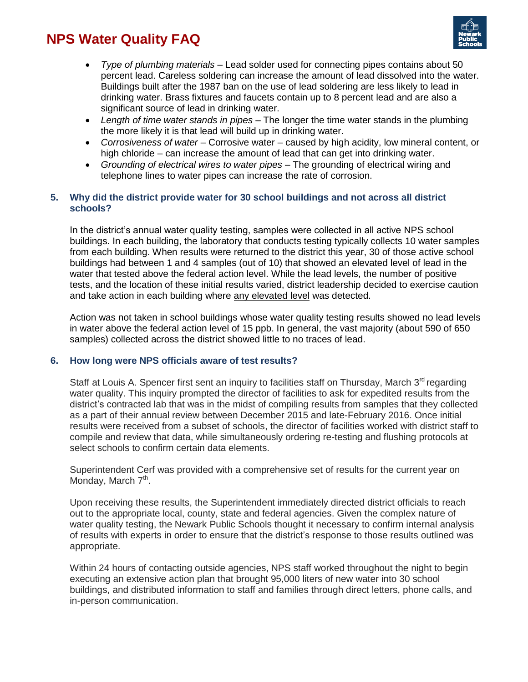

- *Type of plumbing materials –* Lead solder used for connecting pipes contains about 50 percent lead. Careless soldering can increase the amount of lead dissolved into the water. Buildings built after the 1987 ban on the use of lead soldering are less likely to lead in drinking water. Brass fixtures and faucets contain up to 8 percent lead and are also a significant source of lead in drinking water.
- *Length of time water stands in pipes –* The longer the time water stands in the plumbing the more likely it is that lead will build up in drinking water.
- *Corrosiveness of water –* Corrosive water caused by high acidity, low mineral content, or high chloride – can increase the amount of lead that can get into drinking water.
- *Grounding of electrical wires to water pipes –* The grounding of electrical wiring and telephone lines to water pipes can increase the rate of corrosion.

## **5. Why did the district provide water for 30 school buildings and not across all district schools?**

In the district's annual water quality testing, samples were collected in all active NPS school buildings. In each building, the laboratory that conducts testing typically collects 10 water samples from each building. When results were returned to the district this year, 30 of those active school buildings had between 1 and 4 samples (out of 10) that showed an elevated level of lead in the water that tested above the federal action level. While the lead levels, the number of positive tests, and the location of these initial results varied, district leadership decided to exercise caution and take action in each building where any elevated level was detected.

Action was not taken in school buildings whose water quality testing results showed no lead levels in water above the federal action level of 15 ppb. In general, the vast majority (about 590 of 650 samples) collected across the district showed little to no traces of lead.

## **6. How long were NPS officials aware of test results?**

Staff at Louis A. Spencer first sent an inquiry to facilities staff on Thursday, March  $3<sup>rd</sup>$  regarding water quality. This inquiry prompted the director of facilities to ask for expedited results from the district's contracted lab that was in the midst of compiling results from samples that they collected as a part of their annual review between December 2015 and late-February 2016. Once initial results were received from a subset of schools, the director of facilities worked with district staff to compile and review that data, while simultaneously ordering re-testing and flushing protocols at select schools to confirm certain data elements.

Superintendent Cerf was provided with a comprehensive set of results for the current year on Monday, March 7<sup>th</sup>.

Upon receiving these results, the Superintendent immediately directed district officials to reach out to the appropriate local, county, state and federal agencies. Given the complex nature of water quality testing, the Newark Public Schools thought it necessary to confirm internal analysis of results with experts in order to ensure that the district's response to those results outlined was appropriate.

Within 24 hours of contacting outside agencies, NPS staff worked throughout the night to begin executing an extensive action plan that brought 95,000 liters of new water into 30 school buildings, and distributed information to staff and families through direct letters, phone calls, and in-person communication.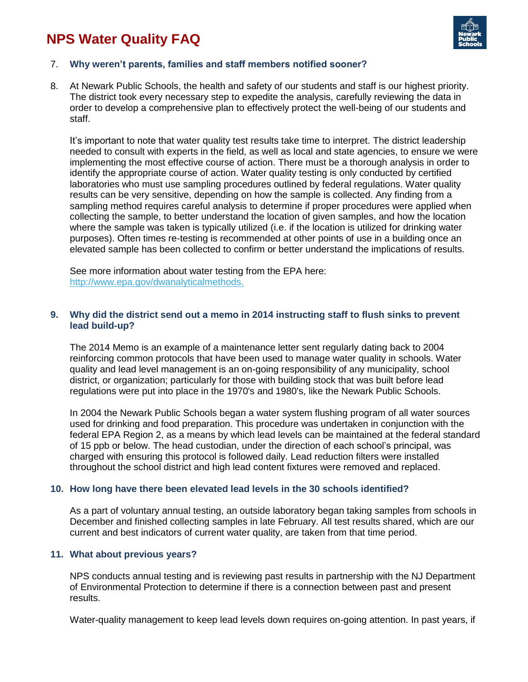

## 7. **Why weren't parents, families and staff members notified sooner?**

8. At Newark Public Schools, the health and safety of our students and staff is our highest priority. The district took every necessary step to expedite the analysis, carefully reviewing the data in order to develop a comprehensive plan to effectively protect the well-being of our students and staff.

It's important to note that water quality test results take time to interpret. The district leadership needed to consult with experts in the field, as well as local and state agencies, to ensure we were implementing the most effective course of action. There must be a thorough analysis in order to identify the appropriate course of action. Water quality testing is only conducted by certified laboratories who must use sampling procedures outlined by federal regulations. Water quality results can be very sensitive, depending on how the sample is collected. Any finding from a sampling method requires careful analysis to determine if proper procedures were applied when collecting the sample, to better understand the location of given samples, and how the location where the sample was taken is typically utilized (i.e. if the location is utilized for drinking water purposes). Often times re-testing is recommended at other points of use in a building once an elevated sample has been collected to confirm or better understand the implications of results.

See more information about water testing from the EPA here: [http://www.epa.gov/dwanalyticalmethods.](http://www.epa.gov/dwanalyticalmethods)

### **9. Why did the district send out a memo in 2014 instructing staff to flush sinks to prevent lead build-up?**

The 2014 Memo is an example of a maintenance letter sent regularly dating back to 2004 reinforcing common protocols that have been used to manage water quality in schools. Water quality and lead level management is an on-going responsibility of any municipality, school district, or organization; particularly for those with building stock that was built before lead regulations were put into place in the 1970's and 1980's, like the Newark Public Schools.

In 2004 the Newark Public Schools began a water system flushing program of all water sources used for drinking and food preparation. This procedure was undertaken in conjunction with the federal EPA Region 2, as a means by which lead levels can be maintained at the federal standard of 15 ppb or below. The head custodian, under the direction of each school's principal, was charged with ensuring this protocol is followed daily. Lead reduction filters were installed throughout the school district and high lead content fixtures were removed and replaced.

#### **10. How long have there been elevated lead levels in the 30 schools identified?**

As a part of voluntary annual testing, an outside laboratory began taking samples from schools in December and finished collecting samples in late February. All test results shared, which are our current and best indicators of current water quality, are taken from that time period.

### **11. What about previous years?**

NPS conducts annual testing and is reviewing past results in partnership with the NJ Department of Environmental Protection to determine if there is a connection between past and present results.

Water-quality management to keep lead levels down requires on-going attention. In past years, if